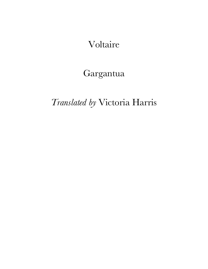Voltaire

## Gargantua

## *Translated by* Victoria Harris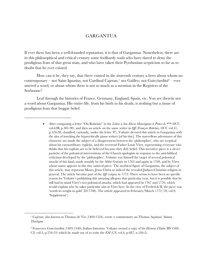## GARGANTUA

If ever there has been a well-founded reputation, it is that of Gargantua. Nonetheless, there are in this philosophical and critical century some foolhardy souls who have dared to deny the prodigious feats of that great man, and who have taken their Pyrrhonian scepticism so far as to doubt that he ever existed.

How can it be, they say, that there existed in the sixteenth century a hero about whom no contemporary – not Saint Ignatius, not Cardinal Cajetan, <sup>1</sup> not Galileo, not Guicciardini2 – ever uttered a word, or about whom there is not so much as a mention in the Registers of the Sorbonne?

Leaf through the histories of France, Germany, England, Spain, etc. You see therein not a word about Gargantua. His entire life, from his birth to his death, is nothing but a tissue of prodigious feats that beggar belief.

 $\overline{\phantom{a}}$  , where  $\overline{\phantom{a}}$  , where  $\overline{\phantom{a}}$ 

<sup>•</sup> After composing a letter "On Rabelais" in the *Lettres* à *Son Altesse Monseigneur le Prince de \*\*\** (*OCV*, vol.63B, p.381-90), and then an article on the same writer in *QE* (*Fran*ç*ois Rabelais, OCV,* vol.41, p.524-38, classified, curiously, under the letter 'F'), Voltaire devoted this article to Gargantua with the aim of mocking the hypocritically pious writers [of his day]. The marvellous adventures of this character are made the subject of a disagreement between the 'philosophes', who are sceptical about his extraordinary exploits, and the reverend Father Louis Viret, representing everyone who thinks that his exploits are to be believed because they defy belief. This inventive piece is a clever pastiche of the polemical interventions of the Church apologists in response to the anti-biblical criticisms developed by the 'philosophes'. Voltaire was himself the target of several polemical attacks of this kind, made notably by the Abbé Guénée in 1762 and again in 1769, and by Viret, whose name appears in this tiny satirical piece. The mythical figure of Gargantua, the subject of this article, may represent Moses, Jesus Christ or indeed the revealed Judaeo-Christian religion in general. The article became part of the *QE* corpus in 1772. There seems to have been no specific reason for Voltaire's publishing this amusing allegory that particular year, but it is possible that he still had in mind Viret's two polemical attacks, which had appeared in 1767 and 1770, which would explain why he takes particular aim at Viret here. In the view of Frederick II, the piece was 'worth its weight in gold' (D17708). The article appeared in February/March 1772 (70, vol.9, 'Supplement').

<sup>1</sup> Cajetan, also known as Thomas de Vio (1469-1534), wrote a commentary on Thomas Aquinas' *Summa Theologiae.*

<sup>2</sup> Francesco Guicciardini (1483-1540), Italian historian. Voltaire owned a copy of his *Historia d'Italia* (BV1569; *CN,* vol.4, p.254-55) which he made use of to write the *EM* (*CN*, vol.4, p.687, n.184-5).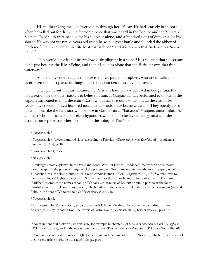His mother Gargamelle delivered him through her left ear. He had scarcely been born when he yelled out for drink in a fearsome voice that was heard in the Beauce and the Vivarais.<sup>3</sup> Sixteen ells of cloth were needed for his codpiece alone, and a hundred skins of dun cows for his shoes.4 He was not yet twelve years old when he won a great battle and founded the abbey of Thélème. <sup>5</sup> He was given as his wife Mistress Badebec, <sup>6</sup> and it is proven that Badebec is a Syriac name.7

They would have it that he swallowed six pilgrims in a salad.<sup>8</sup> It is claimed that the stream of his piss became the River Seine, and that it is to him alone that the Parisians owe that fine waterway.9

All the above seems against nature to our carping philosophers, who are unwilling to assert even the most plausible things, unless they can demonstrably be proved.

They point out that just because the Parisians have always believed in Gargantua, that is not a reason for the other nations to believe in him. If Gargantua had performed even one of the exploits attributed to him, the entire Earth would have resounded with it, all the chronicles would have spoken of it, a hundred monuments would have borne witness.<sup>10</sup> They openly go so far as to describe the Parisians who believe in Gargantua as "badauds", <sup>11</sup> superstitious imbeciles, amongst whom insinuate themselves hypocrites who feign to believe in Gargantua in order to acquire some priory or other belonging to the abbey of Thélème.

<sup>5</sup> *Gargantua*, ch.44, 52-57.

<sup>6</sup> *Pantagruel*, ch.2.

<sup>7</sup> Boulenger's note explains: 'In the West and South-West [of France], "badebec" means with open mouth, mouth agape. In the patois of Bergerac of the present day, "bada" means "to have the mouth gaping open"; and a "badebec" is a candlestick into which a resin candle is stuck' (*Œuvres complètes*, p.199, n.6). Voltaire loves to mock etymological flights of fancy, with Samuel Bochart the author he most often takes aim at. The name 'Badebec' resembles the names of some of Voltaire's characters of Eastern origin, in particular the fakir Bambabef in the article on 'Fraud' in *DP*, which had recently been reprised under the same heading in *QE*; and Babouc, the hero of Voltaire's tale *Le Monde comme il va* (1748).

<sup>9</sup> An invention by Voltaire. Gargantua drowns 260 418 men ('without the women and children', Trans. Screech, 2017) by urinating from the towers of Notre-Dame (*Gargantua*, ch.17, *Œuvres complètes*, p.75-76).

<sup>10</sup> An argument that Voltaire uses regularly, for example in chapter 2 of *L'Examen important de milord Bolingbroke*  (*OCV*, vol.62, p.177), and in the second interview of the *Dîner du comte de Boulainvilliers* (*OCV*, vol.63A, p.369-70).

<sup>11</sup> Voltaire devoted a short article in QE to the origin and meaning of the term 'badaud', which in the context of the present article might be translated 'idle gawpers'.

<sup>3</sup> *Gargantua*, ch.6.

<sup>4</sup> *Gargantua*, ch.8: 'eleven hundred skins' according to Rabelais (*Œuvres completes de Rabelais*, ed. J. Boulenger, Paris, n.d. [1965], p.50).

<sup>8</sup> *Gargantua*, ch.38.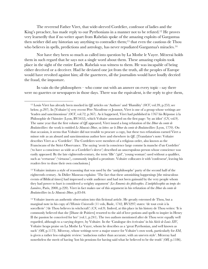The reverend Father Viret, that wide-sleeved Cordelier, confessor of ladies and the King's preacher, has made reply to our Pyrrhonians in a manner not to be refuted. <sup>12</sup> He proves very learnedly that if no writer apart from Rabelais spoke of the amazing exploits of Gargantua then neither did any historian say anything to contradict them;13 that even the cautious de Thou who believes in spells, predictions and astrology, has never repudiated Gargantua's miracles.<sup>14</sup>

Nor have they been so much as called into question by La Mothe le Vayer. Mézerai holds them in such regard that he says not a single word about them. These amazing exploits took place in the sight of the entire Earth. Rabelais was witness to them. He was incapable of being either deceived or a deceiver. Had he deviated one jot from the truth, all the peoples of Europe would have revolted against him; all the gazetteers, all the journalists would have loudly decried the fraud, the imposture.

In vain do the philosophers – who come out with an answer on every topic - say there were no gazettes or newspapers in those days. There was the equivalent, is the reply to give them,

<sup>13</sup> Voltaire imitates a style of reasoning that was used by the 'antiphilosophe' party of the second half of the eighteenth century. As Didier Masseau explains: 'The fact that these astonishing happenings [the miraculous events of Biblical times] had impressed a wide audience and had not been gainsaid by the very people whom they had power to hurt is considered a weighty argument' (*Les Ennemis des philosophes. L'antiphilosophie au temps des Lumières*, Paris, 2000, p.220). Viret in fact makes use of this argument in his refutation of the *Dîner du comte de Boulainvilliers* in *Le Mauvais Dîner,* p.83-84.

<sup>14</sup> Voltaire inserts an authentic observation into this fictional article. He greatly esteemed de Thou, but a marginal note in his copy of *l'Histoire Universelle* (11 vols, Basle, 1742, BV3297) states: 'de tout croit à la sorcellerie' ('de Thou believes in witchcraft') (*CN*, vol.9). Indeed, at this place in his history de Thou writes: 'It is commonly believed that she [Diane de Poitiers] resorted to the aid of love potions and spells to inspire in Henry II the passion he conceived for her' (vol.1, p.241). The two authors mentioned after de Thou were equally well regarded, although to a varying degree, by Voltaire. In the 'Catalogue des écrivains' in his *Siècle de Louis XIV*, Voltaire heaps praise on La Mothe Le Vayer, whom he describes as a 'great Pyrrhonian, and well known as such' (*OH*, p.1173). Mézeray, whose writings were a major source for Voltaire's own work, particularly for *EM*, is given a rather less eulogistic review: 'audacious rather than accurate, with an uneven style'. Mézeray had nonetheless the merit of having 'lost his pensions for having said what he believed to be the truth' (*OH,* p.1186).

<sup>12</sup> Louis Viret has already been mocked in *QE* articles on 'Authors' and 'Humility' (*OCV*, vol.39, p.253; see below, p.297). In [Voltaire's] very recent Père Nicodème et Jeannot, Viret is one of a group whose writings are 'leaden and sanctimonious' (*OCV*, vol.72, p.367). As it happened, Viret had published in 1767 his Réponse à la Philosophie de l'histoire (Lyon, BV3452), which Voltaire annotated on the first page: 'by an idiot' (*CN*, vol.9). The same year that the first volume of *QE* appeared, Viret issued a long refutation of the *Dîner du comte de Boulainvilliers*: the work is entitled *Le Mauvais Dîner, ou lettres sur le Dîner du comte de Boulainvilliers* (Lyon, 1770). On that occasion, it seems that Voltaire did not trouble to procure a copy, but these two refutations earned Viret a minor role as an absurd and sanctimonious author here and elsewhere in *QE*. [Translator's note: Voltaire describes Viret as a 'Cordelier'. The Cordeliers were members of a religious order, also known as the Franciscans of the Strict Observance. The saying 'avoir la conscience large comme la manche d'un Cordelier' ('to have a conscience as wide as a Cordelier's sleeve') described an unscrupulous person whose conscience was easily appeased. By the late eighteenth-century, the term 'fille' ('girl', 'young woman') used without a qualifier, such as 'vertueuse' ('virtuous'), commonly implied a prostitute. Voltaire collocates it with 'confesseur', leaving his readers free to draw their own conclusions.]